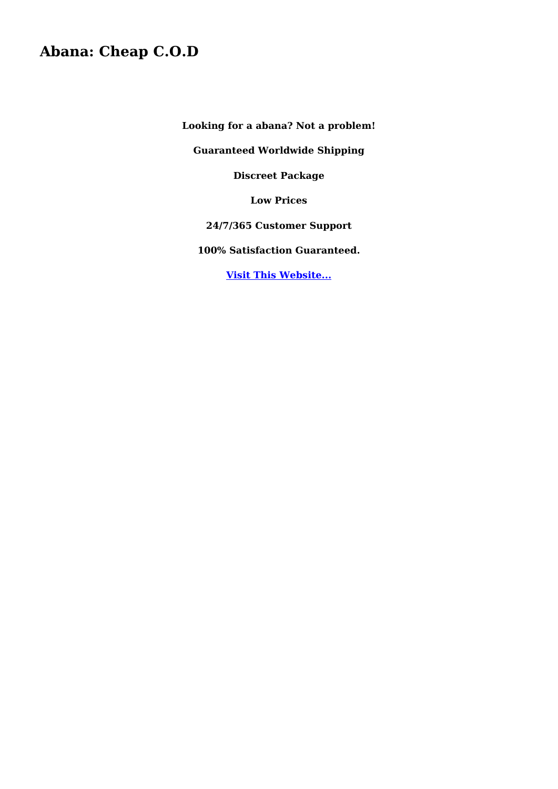## **Abana: Cheap C.O.D**

**Looking for a abana? Not a problem!**

**Guaranteed Worldwide Shipping**

**Discreet Package**

**Low Prices**

**24/7/365 Customer Support**

**100% Satisfaction Guaranteed.**

**[Visit This Website...](https://availablemeds.top/abana)**